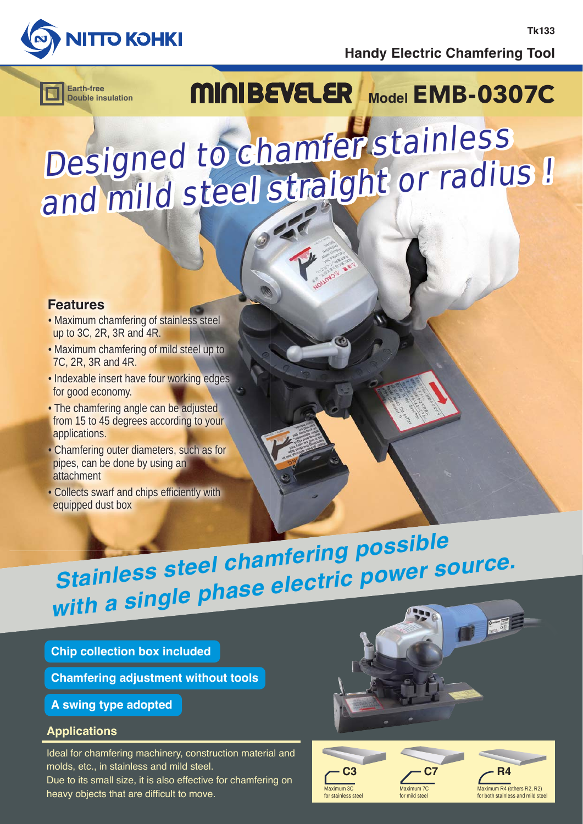

**Handy Electric Chamfering Tool**

**Tk133**

**Double insulation**

## Earth-free **MINBEVELER** Model **EMB-0307C**

# Designed to chamfer stainless and mild steel straight or radius !

## **Features**

- Maximum chamfering of stainless steel up to 3C, 2R, 3R and 4R.
- Maximum chamfering of mild steel up to 7C, 2R, 3R and 4R.
- Indexable insert have four working edges for good economy.
- The chamfering angle can be adjusted from 15 to 45 degrees according to your applications.
- Chamfering outer diameters, such as for pipes, can be done by using an attachment
- Collects swarf and chips efficiently with equipped dust box

## **Stainless steel chamfering possible with a single phase electric power source.**

**Chip collection box included**

**Chamfering adjustment without tools**

**A swing type adopted**

## **Applications**

Ideal for chamfering machinery, construction material and molds, etc., in stainless and mild steel.

Due to its small size, it is also effective for chamfering on heavy objects that are difficult to move.



**C7**

Maximum 7C for mild steel

**C3** Maximum 3C for stainless steel